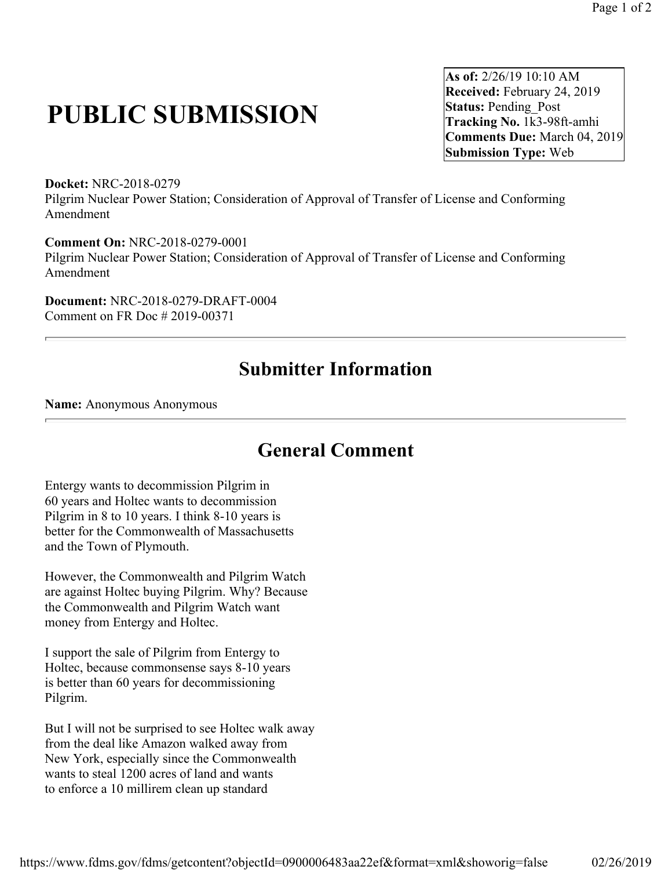## **PUBLIC SUBMISSION**

**As of:** 2/26/19 10:10 AM **Received:** February 24, 2019 **Status: Pending Post Tracking No.** 1k3-98ft-amhi **Comments Due:** March 04, 2019 **Submission Type:** Web

**Docket:** NRC-2018-0279 Pilgrim Nuclear Power Station; Consideration of Approval of Transfer of License and Conforming Amendment

**Comment On:** NRC-2018-0279-0001 Pilgrim Nuclear Power Station; Consideration of Approval of Transfer of License and Conforming Amendment

**Document:** NRC-2018-0279-DRAFT-0004 Comment on FR Doc # 2019-00371

## **Submitter Information**

**Name:** Anonymous Anonymous

## **General Comment**

Entergy wants to decommission Pilgrim in 60 years and Holtec wants to decommission Pilgrim in 8 to 10 years. I think 8-10 years is better for the Commonwealth of Massachusetts and the Town of Plymouth.

However, the Commonwealth and Pilgrim Watch are against Holtec buying Pilgrim. Why? Because the Commonwealth and Pilgrim Watch want money from Entergy and Holtec.

I support the sale of Pilgrim from Entergy to Holtec, because commonsense says 8-10 years is better than 60 years for decommissioning Pilgrim.

But I will not be surprised to see Holtec walk away from the deal like Amazon walked away from New York, especially since the Commonwealth wants to steal 1200 acres of land and wants to enforce a 10 millirem clean up standard